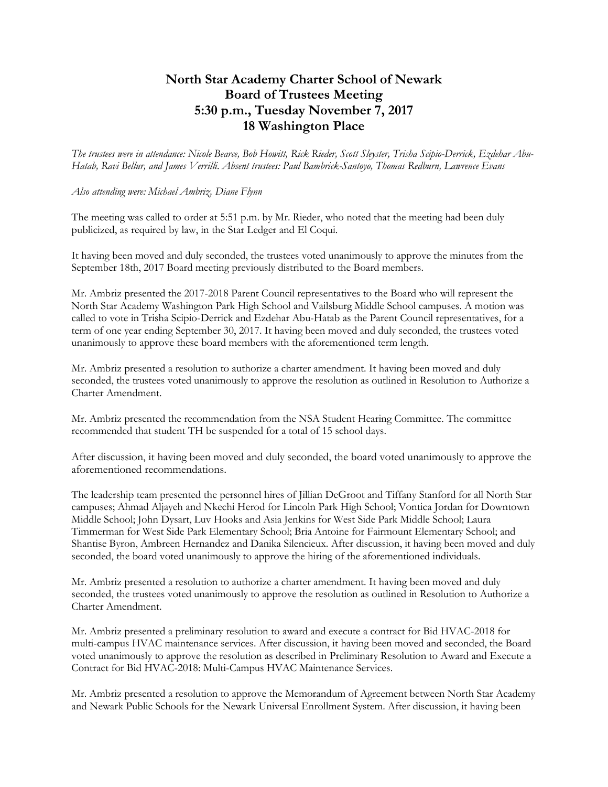## **North Star Academy Charter School of Newark Board of Trustees Meeting 5:30 p.m., Tuesday November 7, 2017 18 Washington Place**

*The trustees were in attendance: Nicole Bearce, Bob Howitt, Rick Rieder, Scott Sleyster, Trisha Scipio-Derrick, Ezdehar Abu-Hatab, Ravi Bellur, and James Verrilli. Absent trustees: Paul Bambrick-Santoyo, Thomas Redburn, Lawrence Evans*

## *Also attending were: Michael Ambriz, Diane Flynn*

The meeting was called to order at 5:51 p.m. by Mr. Rieder, who noted that the meeting had been duly publicized, as required by law, in the Star Ledger and El Coqui.

It having been moved and duly seconded, the trustees voted unanimously to approve the minutes from the September 18th, 2017 Board meeting previously distributed to the Board members.

Mr. Ambriz presented the 2017-2018 Parent Council representatives to the Board who will represent the North Star Academy Washington Park High School and Vailsburg Middle School campuses. A motion was called to vote in Trisha Scipio-Derrick and Ezdehar Abu-Hatab as the Parent Council representatives, for a term of one year ending September 30, 2017. It having been moved and duly seconded, the trustees voted unanimously to approve these board members with the aforementioned term length.

Mr. Ambriz presented a resolution to authorize a charter amendment. It having been moved and duly seconded, the trustees voted unanimously to approve the resolution as outlined in Resolution to Authorize a Charter Amendment.

Mr. Ambriz presented the recommendation from the NSA Student Hearing Committee. The committee recommended that student TH be suspended for a total of 15 school days.

After discussion, it having been moved and duly seconded, the board voted unanimously to approve the aforementioned recommendations.

The leadership team presented the personnel hires of Jillian DeGroot and Tiffany Stanford for all North Star campuses; Ahmad Aljayeh and Nkechi Herod for Lincoln Park High School; Vontica Jordan for Downtown Middle School; John Dysart, Luv Hooks and Asia Jenkins for West Side Park Middle School; Laura Timmerman for West Side Park Elementary School; Bria Antoine for Fairmount Elementary School; and Shantise Byron, Ambreen Hernandez and Danika Silencieux. After discussion, it having been moved and duly seconded, the board voted unanimously to approve the hiring of the aforementioned individuals.

Mr. Ambriz presented a resolution to authorize a charter amendment. It having been moved and duly seconded, the trustees voted unanimously to approve the resolution as outlined in Resolution to Authorize a Charter Amendment.

Mr. Ambriz presented a preliminary resolution to award and execute a contract for Bid HVAC-2018 for multi-campus HVAC maintenance services. After discussion, it having been moved and seconded, the Board voted unanimously to approve the resolution as described in Preliminary Resolution to Award and Execute a Contract for Bid HVAC-2018: Multi-Campus HVAC Maintenance Services.

Mr. Ambriz presented a resolution to approve the Memorandum of Agreement between North Star Academy and Newark Public Schools for the Newark Universal Enrollment System. After discussion, it having been